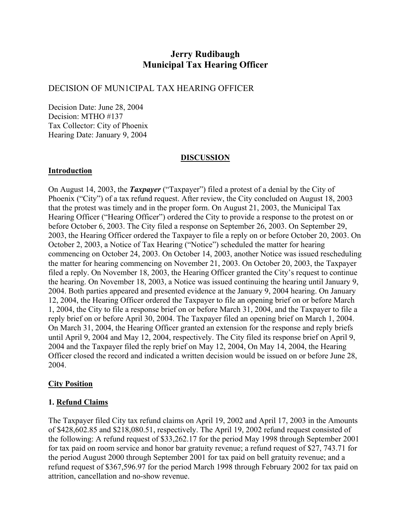# **Jerry Rudibaugh Municipal Tax Hearing Officer**

## DECISION OF MUN1CIPAL TAX HEARING OFFICER

Decision Date: June 28, 2004 Decision: MTHO #137 Tax Collector: City of Phoenix Hearing Date: January 9, 2004

#### **DISCUSSION**

#### **Introduction**

On August 14, 2003, the *Taxpayer* ("Taxpayer") filed a protest of a denial by the City of Phoenix ("City") of a tax refund request. After review, the City concluded on August 18, 2003 that the protest was timely and in the proper form. On August 21, 2003, the Municipal Tax Hearing Officer ("Hearing Officer") ordered the City to provide a response to the protest on or before October 6, 2003. The City filed a response on September 26, 2003. On September 29, 2003, the Hearing Officer ordered the Taxpayer to file a reply on or before October 20, 2003. On October 2, 2003, a Notice of Tax Hearing ("Notice") scheduled the matter for hearing commencing on October 24, 2003. On October 14, 2003, another Notice was issued rescheduling the matter for hearing commencing on November 21, 2003. On October 20, 2003, the Taxpayer filed a reply. On November 18, 2003, the Hearing Officer granted the City's request to continue the hearing. On November 18, 2003, a Notice was issued continuing the hearing until January 9, 2004. Both parties appeared and presented evidence at the January 9, 2004 hearing. On January 12, 2004, the Hearing Officer ordered the Taxpayer to file an opening brief on or before March 1, 2004, the City to file a response brief on or before March 31, 2004, and the Taxpayer to file a reply brief on or before April 30, 2004. The Taxpayer filed an opening brief on March 1, 2004. On March 31, 2004, the Hearing Officer granted an extension for the response and reply briefs until April 9, 2004 and May 12, 2004, respectively. The City filed its response brief on April 9, 2004 and the Taxpayer filed the reply brief on May 12, 2004, On May 14, 2004, the Hearing Officer closed the record and indicated a written decision would be issued on or before June 28, 2004.

#### **City Position**

#### **1. Refund Claims**

The Taxpayer filed City tax refund claims on April 19, 2002 and April 17, 2003 in the Amounts of \$428,602.85 and \$218,080.51, respectively. The April 19, 2002 refund request consisted of the following: A refund request of \$33,262.17 for the period May 1998 through September 2001 for tax paid on room service and honor bar gratuity revenue; a refund request of \$27, 743.71 for the period August 2000 through September 2001 for tax paid on bell gratuity revenue; and a refund request of \$367,596.97 for the period March 1998 through February 2002 for tax paid on attrition, cancellation and no-show revenue.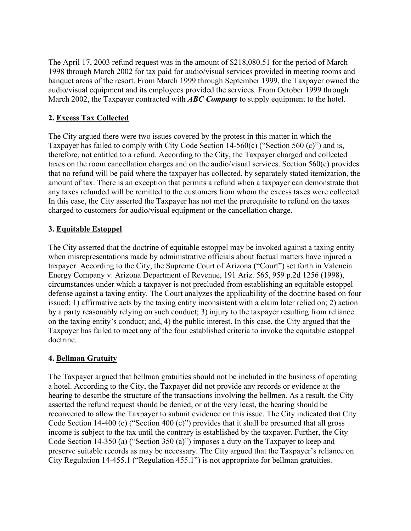The April 17, 2003 refund request was in the amount of \$218,080.51 for the period of March 1998 through March 2002 for tax paid for audio/visual services provided in meeting rooms and banquet areas of the resort. From March 1999 through September 1999, the Taxpayer owned the audio/visual equipment and its employees provided the services. From October 1999 through March 2002, the Taxpayer contracted with *ABC Company* to supply equipment to the hotel.

## **2. Excess Tax Collected**

The City argued there were two issues covered by the protest in this matter in which the Taxpayer has failed to comply with City Code Section 14-560(c) ("Section 560 (c)") and is, therefore, not entitled to a refund. According to the City, the Taxpayer charged and collected taxes on the room cancellation charges and on the audio/visual services. Section 560(c) provides that no refund will be paid where the taxpayer has collected, by separately stated itemization, the amount of tax. There is an exception that permits a refund when a taxpayer can demonstrate that any taxes refunded will be remitted to the customers from whom the excess taxes were collected. In this case, the City asserted the Taxpayer has not met the prerequisite to refund on the taxes charged to customers for audio/visual equipment or the cancellation charge.

### **3. Equitable Estoppel**

The City asserted that the doctrine of equitable estoppel may be invoked against a taxing entity when misrepresentations made by administrative officials about factual matters have injured a taxpayer. According to the City, the Supreme Court of Arizona ("Court") set forth in Valencia Energy Company v. Arizona Department of Revenue, 191 Ariz. 565, 959 p.2d 1256 (1998), circumstances under which a taxpayer is not precluded from establishing an equitable estoppel defense against a taxing entity. The Court analyzes the applicability of the doctrine based on four issued: 1) affirmative acts by the taxing entity inconsistent with a claim later relied on; 2) action by a party reasonably relying on such conduct; 3) injury to the taxpayer resulting from reliance on the taxing entity's conduct; and, 4) the public interest. In this case, the City argued that the Taxpayer has failed to meet any of the four established criteria to invoke the equitable estoppel doctrine.

#### **4. Bellman Gratuity**

The Taxpayer argued that bellman gratuities should not be included in the business of operating a hotel. According to the City, the Taxpayer did not provide any records or evidence at the hearing to describe the structure of the transactions involving the bellmen. As a result, the City asserted the refund request should be denied, or at the very least, the hearing should be reconvened to allow the Taxpayer to submit evidence on this issue. The City indicated that City Code Section 14-400 (c) ("Section 400 (c)") provides that it shall be presumed that all gross income is subject to the tax until the contrary is established by the taxpayer. Further, the City Code Section 14-350 (a) ("Section 350 (a)") imposes a duty on the Taxpayer to keep and preserve suitable records as may be necessary. The City argued that the Taxpayer's reliance on City Regulation 14-455.1 ("Regulation 455.1") is not appropriate for bellman gratuities.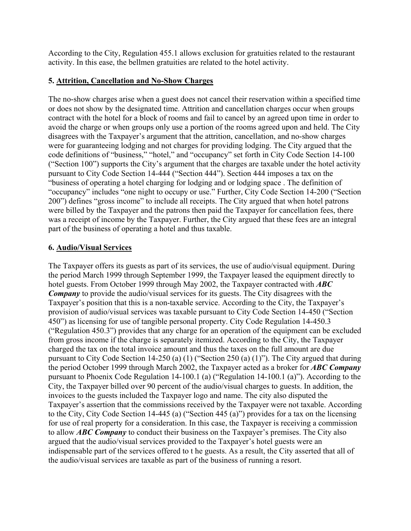According to the City, Regulation 455.1 allows exclusion for gratuities related to the restaurant activity. In this ease, the bellmen gratuities are related to the hotel activity.

#### **5. Attrition, Cancellation and No-Show Charges**

The no-show charges arise when a guest does not cancel their reservation within a specified time or does not show by the designated time. Attrition and cancellation charges occur when groups contract with the hotel for a block of rooms and fail to cancel by an agreed upon time in order to avoid the charge or when groups only use a portion of the rooms agreed upon and held. The City disagrees with the Taxpayer's argument that the attrition, cancellation, and no-show charges were for guaranteeing lodging and not charges for providing lodging. The City argued that the code definitions of "business," "hotel," and "occupancy" set forth in City Code Section 14-100 ("Section 100") supports the City's argument that the charges are taxable under the hotel activity pursuant to City Code Section 14-444 ("Section 444"). Section 444 imposes a tax on the "business of operating a hotel charging for lodging and or lodging space . The definition of "occupancy" includes "one night to occupy or use." Further, City Code Section 14-200 ("Section 200") defines "gross income" to include all receipts. The City argued that when hotel patrons were billed by the Taxpayer and the patrons then paid the Taxpayer for cancellation fees, there was a receipt of income by the Taxpayer. Further, the City argued that these fees are an integral part of the business of operating a hotel and thus taxable.

### **6. Audio/Visual Services**

The Taxpayer offers its guests as part of its services, the use of audio/visual equipment. During the period March 1999 through September 1999, the Taxpayer leased the equipment directly to hotel guests. From October 1999 through May 2002, the Taxpayer contracted with *ABC Company* to provide the audio/visual services for its guests. The City disagrees with the Taxpayer's position that this is a non-taxable service. According to the City, the Taxpayer's provision of audio/visual services was taxable pursuant to City Code Section 14-450 ("Section 450") as licensing for use of tangible personal property. City Code Regulation 14-450.3 ("Regulation 450.3") provides that any charge for an operation of the equipment can be excluded from gross income if the charge is separately itemized. According to the City, the Taxpayer charged the tax on the total invoice amount and thus the taxes on the full amount are due pursuant to City Code Section 14-250 (a) (1) ("Section 250 (a) (1)"). The City argued that during the period October 1999 through March 2002, the Taxpayer acted as a broker for *ABC Company* pursuant to Phoenix Code Regulation 14-100.1 (a) ("Regulation 14-100.1 (a)"). According to the City, the Taxpayer billed over 90 percent of the audio/visual charges to guests. In addition, the invoices to the guests included the Taxpayer logo and name. The city also disputed the Taxpayer's assertion that the commissions received by the Taxpayer were not taxable. According to the City, City Code Section 14-445 (a) ("Section 445 (a)") provides for a tax on the licensing for use of real property for a consideration. In this case, the Taxpayer is receiving a commission to allow *ABC Company* to conduct their business on the Taxpayer's premises. The City also argued that the audio/visual services provided to the Taxpayer's hotel guests were an indispensable part of the services offered to t he guests. As a result, the City asserted that all of the audio/visual services are taxable as part of the business of running a resort.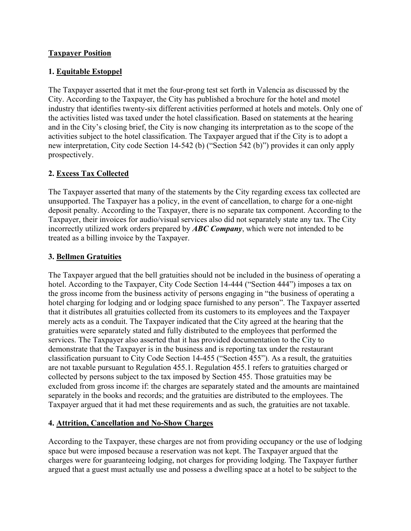### **Taxpayer Position**

### **1. Equitable Estoppel**

The Taxpayer asserted that it met the four-prong test set forth in Valencia as discussed by the City. According to the Taxpayer, the City has published a brochure for the hotel and motel industry that identifies twenty-six different activities performed at hotels and motels. Only one of the activities listed was taxed under the hotel classification. Based on statements at the hearing and in the City's closing brief, the City is now changing its interpretation as to the scope of the activities subject to the hotel classification. The Taxpayer argued that if the City is to adopt a new interpretation, City code Section 14-542 (b) ("Section 542 (b)") provides it can only apply prospectively.

## **2. Excess Tax Collected**

The Taxpayer asserted that many of the statements by the City regarding excess tax collected are unsupported. The Taxpayer has a policy, in the event of cancellation, to charge for a one-night deposit penalty. According to the Taxpayer, there is no separate tax component. According to the Taxpayer, their invoices for audio/visual services also did not separately state any tax. The City incorrectly utilized work orders prepared by *ABC Company*, which were not intended to be treated as a billing invoice by the Taxpayer.

## **3. Bellmen Gratuities**

The Taxpayer argued that the bell gratuities should not be included in the business of operating a hotel. According to the Taxpayer, City Code Section 14-444 ("Section 444") imposes a tax on the gross income from the business activity of persons engaging in "the business of operating a hotel charging for lodging and or lodging space furnished to any person". The Taxpayer asserted that it distributes all gratuities collected from its customers to its employees and the Taxpayer merely acts as a conduit. The Taxpayer indicated that the City agreed at the hearing that the gratuities were separately stated and fully distributed to the employees that performed the services. The Taxpayer also asserted that it has provided documentation to the City to demonstrate that the Taxpayer is in the business and is reporting tax under the restaurant classification pursuant to City Code Section 14-455 ("Section 455"). As a result, the gratuities are not taxable pursuant to Regulation 455.1. Regulation 455.1 refers to gratuities charged or collected by persons subject to the tax imposed by Section 455. Those gratuities may be excluded from gross income if: the charges are separately stated and the amounts are maintained separately in the books and records; and the gratuities are distributed to the employees. The Taxpayer argued that it had met these requirements and as such, the gratuities are not taxable.

## **4. Attrition, Cancellation and No-Show Charges**

According to the Taxpayer, these charges are not from providing occupancy or the use of lodging space but were imposed because a reservation was not kept. The Taxpayer argued that the charges were for guaranteeing lodging, not charges for providing lodging. The Taxpayer further argued that a guest must actually use and possess a dwelling space at a hotel to be subject to the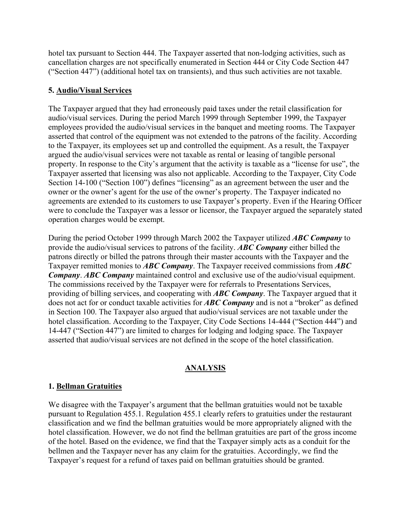hotel tax pursuant to Section 444. The Taxpayer asserted that non-lodging activities, such as cancellation charges are not specifically enumerated in Section 444 or City Code Section 447 ("Section 447") (additional hotel tax on transients), and thus such activities are not taxable.

### **5. Audio/Visual Services**

The Taxpayer argued that they had erroneously paid taxes under the retail classification for audio/visual services. During the period March 1999 through September 1999, the Taxpayer employees provided the audio/visual services in the banquet and meeting rooms. The Taxpayer asserted that control of the equipment was not extended to the patrons of the facility. According to the Taxpayer, its employees set up and controlled the equipment. As a result, the Taxpayer argued the audio/visual services were not taxable as rental or leasing of tangible personal property. In response to the City's argument that the activity is taxable as a "license for use", the Taxpayer asserted that licensing was also not applicable. According to the Taxpayer, City Code Section 14-100 ("Section 100") defines "licensing" as an agreement between the user and the owner or the owner's agent for the use of the owner's property. The Taxpayer indicated no agreements are extended to its customers to use Taxpayer's property. Even if the Hearing Officer were to conclude the Taxpayer was a lessor or licensor, the Taxpayer argued the separately stated operation charges would be exempt.

During the period October 1999 through March 2002 the Taxpayer utilized *ABC Company* to provide the audio/visual services to patrons of the facility. *ABC Company* either billed the patrons directly or billed the patrons through their master accounts with the Taxpayer and the Taxpayer remitted monies to *ABC Company*. The Taxpayer received commissions from *ABC Company*. *ABC Company* maintained control and exclusive use of the audio/visual equipment. The commissions received by the Taxpayer were for referrals to Presentations Services, providing of billing services, and cooperating with *ABC Company*. The Taxpayer argued that it does not act for or conduct taxable activities for *ABC Company* and is not a "broker" as defined in Section 100. The Taxpayer also argued that audio/visual services are not taxable under the hotel classification. According to the Taxpayer, City Code Sections 14-444 ("Section 444") and 14-447 ("Section 447") are limited to charges for lodging and lodging space. The Taxpayer asserted that audio/visual services are not defined in the scope of the hotel classification.

## **ANALYSIS**

## **1. Bellman Gratuities**

We disagree with the Taxpayer's argument that the bellman gratuities would not be taxable pursuant to Regulation 455.1. Regulation 455.1 clearly refers to gratuities under the restaurant classification and we find the bellman gratuities would be more appropriately aligned with the hotel classification. However, we do not find the bellman gratuities are part of the gross income of the hotel. Based on the evidence, we find that the Taxpayer simply acts as a conduit for the bellmen and the Taxpayer never has any claim for the gratuities. Accordingly, we find the Taxpayer's request for a refund of taxes paid on bellman gratuities should be granted.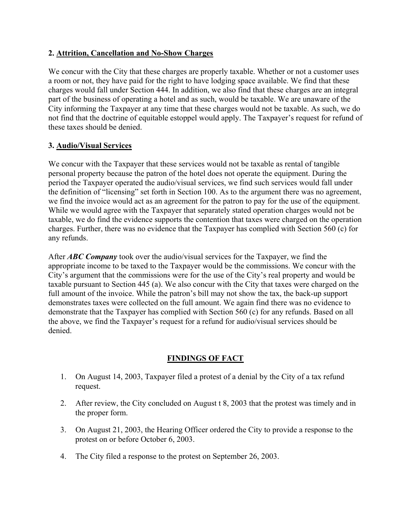### **2. Attrition, Cancellation and No-Show Charges**

We concur with the City that these charges are properly taxable. Whether or not a customer uses a room or not, they have paid for the right to have lodging space available. We find that these charges would fall under Section 444. In addition, we also find that these charges are an integral part of the business of operating a hotel and as such, would be taxable. We are unaware of the City informing the Taxpayer at any time that these charges would not be taxable. As such, we do not find that the doctrine of equitable estoppel would apply. The Taxpayer's request for refund of these taxes should be denied.

### **3. Audio/Visual Services**

We concur with the Taxpayer that these services would not be taxable as rental of tangible personal property because the patron of the hotel does not operate the equipment. During the period the Taxpayer operated the audio/visual services, we find such services would fall under the definition of "licensing" set forth in Section 100. As to the argument there was no agreement, we find the invoice would act as an agreement for the patron to pay for the use of the equipment. While we would agree with the Taxpayer that separately stated operation charges would not be taxable, we do find the evidence supports the contention that taxes were charged on the operation charges. Further, there was no evidence that the Taxpayer has complied with Section 560 (c) for any refunds.

After *ABC Company* took over the audio/visual services for the Taxpayer, we find the appropriate income to be taxed to the Taxpayer would be the commissions. We concur with the City's argument that the commissions were for the use of the City's real property and would be taxable pursuant to Section 445 (a). We also concur with the City that taxes were charged on the full amount of the invoice. While the patron's bill may not show the tax, the back-up support demonstrates taxes were collected on the full amount. We again find there was no evidence to demonstrate that the Taxpayer has complied with Section 560 (c) for any refunds. Based on all the above, we find the Taxpayer's request for a refund for audio/visual services should be denied.

## **FINDINGS OF FACT**

- 1. On August 14, 2003, Taxpayer filed a protest of a denial by the City of a tax refund request.
- 2. After review, the City concluded on August t 8, 2003 that the protest was timely and in the proper form.
- 3. On August 21, 2003, the Hearing Officer ordered the City to provide a response to the protest on or before October 6, 2003.
- 4. The City filed a response to the protest on September 26, 2003.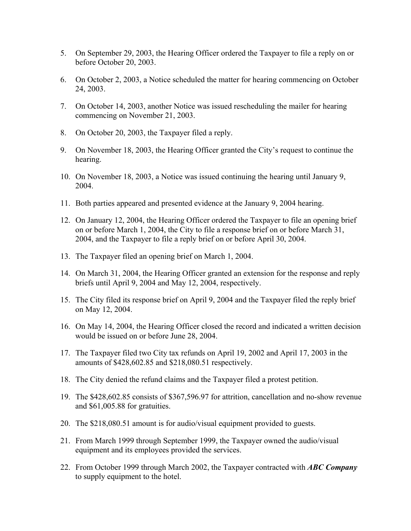- 5. On September 29, 2003, the Hearing Officer ordered the Taxpayer to file a reply on or before October 20, 2003.
- 6. On October 2, 2003, a Notice scheduled the matter for hearing commencing on October 24, 2003.
- 7. On October 14, 2003, another Notice was issued rescheduling the mailer for hearing commencing on November 21, 2003.
- 8. On October 20, 2003, the Taxpayer filed a reply.
- 9. On November 18, 2003, the Hearing Officer granted the City's request to continue the hearing.
- 10. On November 18, 2003, a Notice was issued continuing the hearing until January 9, 2004.
- 11. Both parties appeared and presented evidence at the January 9, 2004 hearing.
- 12. On January 12, 2004, the Hearing Officer ordered the Taxpayer to file an opening brief on or before March 1, 2004, the City to file a response brief on or before March 31, 2004, and the Taxpayer to file a reply brief on or before April 30, 2004.
- 13. The Taxpayer filed an opening brief on March 1, 2004.
- 14. On March 31, 2004, the Hearing Officer granted an extension for the response and reply briefs until April 9, 2004 and May 12, 2004, respectively.
- 15. The City filed its response brief on April 9, 2004 and the Taxpayer filed the reply brief on May 12, 2004.
- 16. On May 14, 2004, the Hearing Officer closed the record and indicated a written decision would be issued on or before June 28, 2004.
- 17. The Taxpayer filed two City tax refunds on April 19, 2002 and April 17, 2003 in the amounts of \$428,602.85 and \$218,080.51 respectively.
- 18. The City denied the refund claims and the Taxpayer filed a protest petition.
- 19. The \$428,602.85 consists of \$367,596.97 for attrition, cancellation and no-show revenue and \$61,005.88 for gratuities.
- 20. The \$218,080.51 amount is for audio/visual equipment provided to guests.
- 21. From March 1999 through September 1999, the Taxpayer owned the audio/visual equipment and its employees provided the services.
- 22. From October 1999 through March 2002, the Taxpayer contracted with *ABC Company* to supply equipment to the hotel.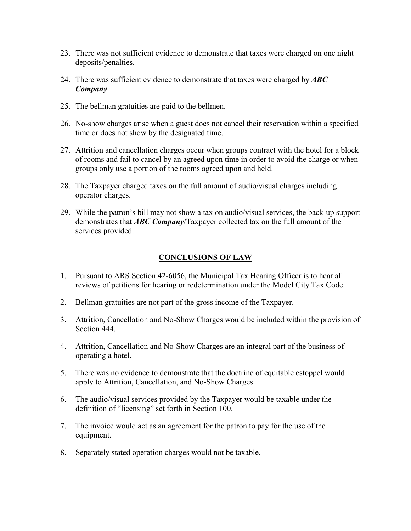- 23. There was not sufficient evidence to demonstrate that taxes were charged on one night deposits/penalties.
- 24. There was sufficient evidence to demonstrate that taxes were charged by *ABC Company*.
- 25. The bellman gratuities are paid to the bellmen.
- 26. No-show charges arise when a guest does not cancel their reservation within a specified time or does not show by the designated time.
- 27. Attrition and cancellation charges occur when groups contract with the hotel for a block of rooms and fail to cancel by an agreed upon time in order to avoid the charge or when groups only use a portion of the rooms agreed upon and held.
- 28. The Taxpayer charged taxes on the full amount of audio/visual charges including operator charges.
- 29. While the patron's bill may not show a tax on audio/visual services, the back-up support demonstrates that *ABC Company*/Taxpayer collected tax on the full amount of the services provided.

### **CONCLUSIONS OF LAW**

- 1. Pursuant to ARS Section 42-6056, the Municipal Tax Hearing Officer is to hear all reviews of petitions for hearing or redetermination under the Model City Tax Code.
- 2. Bellman gratuities are not part of the gross income of the Taxpayer.
- 3. Attrition, Cancellation and No-Show Charges would be included within the provision of Section 444.
- 4. Attrition, Cancellation and No-Show Charges are an integral part of the business of operating a hotel.
- 5. There was no evidence to demonstrate that the doctrine of equitable estoppel would apply to Attrition, Cancellation, and No-Show Charges.
- 6. The audio/visual services provided by the Taxpayer would be taxable under the definition of "licensing" set forth in Section 100.
- 7. The invoice would act as an agreement for the patron to pay for the use of the equipment.
- 8. Separately stated operation charges would not be taxable.